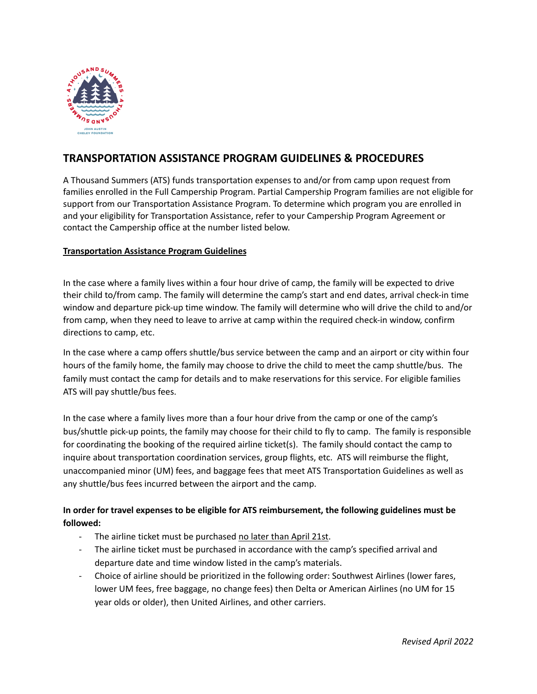

# **TRANSPORTATION ASSISTANCE PROGRAM GUIDELINES & PROCEDURES**

A Thousand Summers (ATS) funds transportation expenses to and/or from camp upon request from families enrolled in the Full Campership Program. Partial Campership Program families are not eligible for support from our Transportation Assistance Program. To determine which program you are enrolled in and your eligibility for Transportation Assistance, refer to your Campership Program Agreement or contact the Campership office at the number listed below.

#### **Transportation Assistance Program Guidelines**

In the case where a family lives within a four hour drive of camp, the family will be expected to drive their child to/from camp. The family will determine the camp's start and end dates, arrival check-in time window and departure pick-up time window. The family will determine who will drive the child to and/or from camp, when they need to leave to arrive at camp within the required check-in window, confirm directions to camp, etc.

In the case where a camp offers shuttle/bus service between the camp and an airport or city within four hours of the family home, the family may choose to drive the child to meet the camp shuttle/bus. The family must contact the camp for details and to make reservations for this service. For eligible families ATS will pay shuttle/bus fees.

In the case where a family lives more than a four hour drive from the camp or one of the camp's bus/shuttle pick-up points, the family may choose for their child to fly to camp. The family is responsible for coordinating the booking of the required airline ticket(s). The family should contact the camp to inquire about transportation coordination services, group flights, etc. ATS will reimburse the flight, unaccompanied minor (UM) fees, and baggage fees that meet ATS Transportation Guidelines as well as any shuttle/bus fees incurred between the airport and the camp.

## **In order for travel expenses to be eligible for ATS reimbursement, the following guidelines must be followed:**

- The airline ticket must be purchased no later than April 21st.
- The airline ticket must be purchased in accordance with the camp's specified arrival and departure date and time window listed in the camp's materials.
- Choice of airline should be prioritized in the following order: Southwest Airlines (lower fares, lower UM fees, free baggage, no change fees) then Delta or American Airlines (no UM for 15 year olds or older), then United Airlines, and other carriers.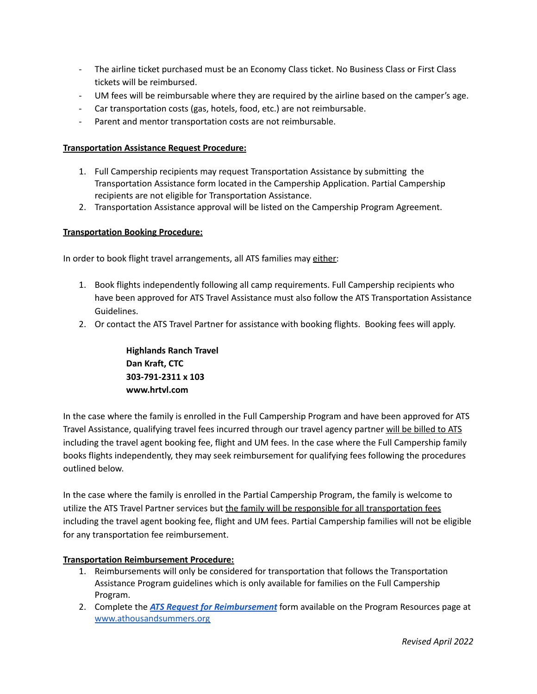- The airline ticket purchased must be an Economy Class ticket. No Business Class or First Class tickets will be reimbursed.
- UM fees will be reimbursable where they are required by the airline based on the camper's age.
- Car transportation costs (gas, hotels, food, etc.) are not reimbursable.
- Parent and mentor transportation costs are not reimbursable.

#### **Transportation Assistance Request Procedure:**

- 1. Full Campership recipients may request Transportation Assistance by submitting the Transportation Assistance form located in the Campership Application. Partial Campership recipients are not eligible for Transportation Assistance.
- 2. Transportation Assistance approval will be listed on the Campership Program Agreement.

#### **Transportation Booking Procedure:**

In order to book flight travel arrangements, all ATS families may either:

- 1. Book flights independently following all camp requirements. Full Campership recipients who have been approved for ATS Travel Assistance must also follow the ATS Transportation Assistance Guidelines.
- 2. Or contact the ATS Travel Partner for assistance with booking flights. Booking fees will apply.

**Highlands Ranch Travel Dan Kraft, CTC 303-791-2311 x 103 www.hrtvl.com**

In the case where the family is enrolled in the Full Campership Program and have been approved for ATS Travel Assistance, qualifying travel fees incurred through our travel agency partner will be billed to ATS including the travel agent booking fee, flight and UM fees. In the case where the Full Campership family books flights independently, they may seek reimbursement for qualifying fees following the procedures outlined below.

In the case where the family is enrolled in the Partial Campership Program, the family is welcome to utilize the ATS Travel Partner services but the family will be responsible for all transportation fees including the travel agent booking fee, flight and UM fees. Partial Campership families will not be eligible for any transportation fee reimbursement.

### **Transportation Reimbursement Procedure:**

- 1. Reimbursements will only be considered for transportation that follows the Transportation Assistance Program guidelines which is only available for families on the Full Campership Program.
- 2. Complete the *ATS Request for [Reimbursement](https://athousandsummers.org/campers/resources/)* form available on the Program Resources page at [www.athousandsummers.org](https://athousandsummers.org/)